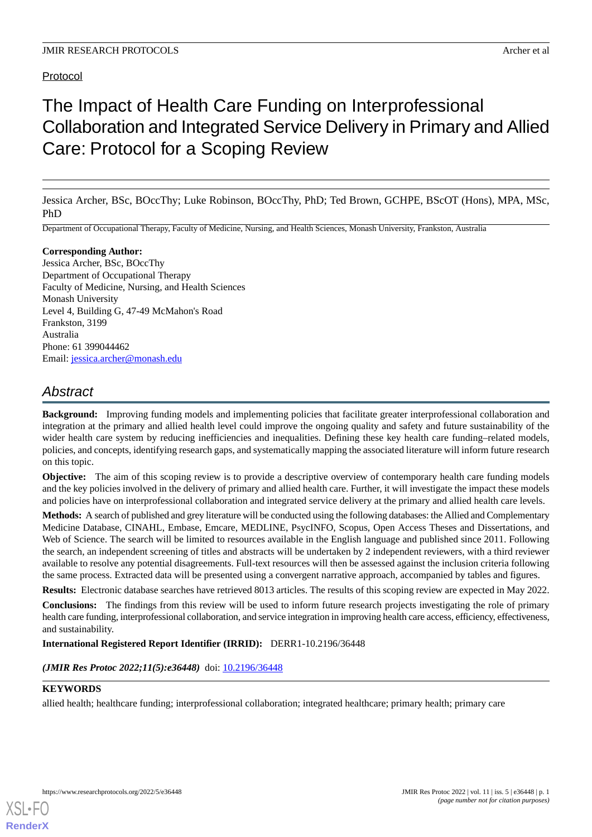# Protocol

# The Impact of Health Care Funding on Interprofessional Collaboration and Integrated Service Delivery in Primary and Allied Care: Protocol for a Scoping Review

Jessica Archer, BSc, BOccThy; Luke Robinson, BOccThy, PhD; Ted Brown, GCHPE, BScOT (Hons), MPA, MSc, PhD

Department of Occupational Therapy, Faculty of Medicine, Nursing, and Health Sciences, Monash University, Frankston, Australia

#### **Corresponding Author:**

Jessica Archer, BSc, BOccThy Department of Occupational Therapy Faculty of Medicine, Nursing, and Health Sciences Monash University Level 4, Building G, 47-49 McMahon's Road Frankston, 3199 Australia Phone: 61 399044462 Email: [jessica.archer@monash.edu](mailto:jessica.archer@monash.edu)

# *Abstract*

**Background:** Improving funding models and implementing policies that facilitate greater interprofessional collaboration and integration at the primary and allied health level could improve the ongoing quality and safety and future sustainability of the wider health care system by reducing inefficiencies and inequalities. Defining these key health care funding–related models, policies, and concepts, identifying research gaps, and systematically mapping the associated literature will inform future research on this topic.

**Objective:** The aim of this scoping review is to provide a descriptive overview of contemporary health care funding models and the key policies involved in the delivery of primary and allied health care. Further, it will investigate the impact these models and policies have on interprofessional collaboration and integrated service delivery at the primary and allied health care levels.

**Methods:** A search of published and grey literature will be conducted using the following databases: the Allied and Complementary Medicine Database, CINAHL, Embase, Emcare, MEDLINE, PsycINFO, Scopus, Open Access Theses and Dissertations, and Web of Science. The search will be limited to resources available in the English language and published since 2011. Following the search, an independent screening of titles and abstracts will be undertaken by 2 independent reviewers, with a third reviewer available to resolve any potential disagreements. Full-text resources will then be assessed against the inclusion criteria following the same process. Extracted data will be presented using a convergent narrative approach, accompanied by tables and figures.

**Results:** Electronic database searches have retrieved 8013 articles. The results of this scoping review are expected in May 2022.

**Conclusions:** The findings from this review will be used to inform future research projects investigating the role of primary health care funding, interprofessional collaboration, and service integration in improving health care access, efficiency, effectiveness, and sustainability.

**International Registered Report Identifier (IRRID):** DERR1-10.2196/36448

(JMIR Res Protoc 2022;11(5):e36448) doi: [10.2196/36448](http://dx.doi.org/10.2196/36448)

#### **KEYWORDS**

[XSL](http://www.w3.org/Style/XSL)•FO **[RenderX](http://www.renderx.com/)**

allied health; healthcare funding; interprofessional collaboration; integrated healthcare; primary health; primary care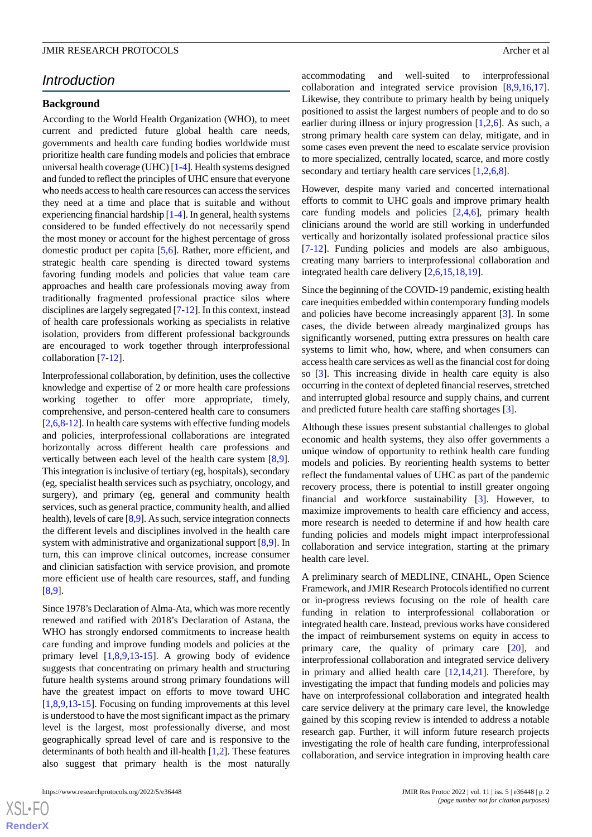# *Introduction*

### **Background**

According to the World Health Organization (WHO), to meet current and predicted future global health care needs, governments and health care funding bodies worldwide must prioritize health care funding models and policies that embrace universal health coverage (UHC) [\[1](#page-5-0)[-4](#page-5-1)]. Health systems designed and funded to reflect the principles of UHC ensure that everyone who needs access to health care resources can access the services they need at a time and place that is suitable and without experiencing financial hardship [\[1](#page-5-0)[-4](#page-5-1)]. In general, health systems considered to be funded effectively do not necessarily spend the most money or account for the highest percentage of gross domestic product per capita [[5,](#page-5-2)[6](#page-5-3)]. Rather, more efficient, and strategic health care spending is directed toward systems favoring funding models and policies that value team care approaches and health care professionals moving away from traditionally fragmented professional practice silos where disciplines are largely segregated [[7-](#page-5-4)[12\]](#page-5-5). In this context, instead of health care professionals working as specialists in relative isolation, providers from different professional backgrounds are encouraged to work together through interprofessional collaboration [\[7](#page-5-4)[-12](#page-5-5)].

Interprofessional collaboration, by definition, uses the collective knowledge and expertise of 2 or more health care professions working together to offer more appropriate, timely, comprehensive, and person-centered health care to consumers [[2](#page-5-6)[,6](#page-5-3),[8-](#page-5-7)[12\]](#page-5-5). In health care systems with effective funding models and policies, interprofessional collaborations are integrated horizontally across different health care professions and vertically between each level of the health care system [\[8](#page-5-7),[9\]](#page-5-8). This integration is inclusive of tertiary (eg, hospitals), secondary (eg, specialist health services such as psychiatry, oncology, and surgery), and primary (eg, general and community health services, such as general practice, community health, and allied health), levels of care [\[8](#page-5-7),[9\]](#page-5-8). As such, service integration connects the different levels and disciplines involved in the health care system with administrative and organizational support [[8](#page-5-7)[,9](#page-5-8)]. In turn, this can improve clinical outcomes, increase consumer and clinician satisfaction with service provision, and promote more efficient use of health care resources, staff, and funding [[8](#page-5-7)[,9](#page-5-8)].

Since 1978's Declaration of Alma-Ata, which was more recently renewed and ratified with 2018's Declaration of Astana, the WHO has strongly endorsed commitments to increase health care funding and improve funding models and policies at the primary level [[1](#page-5-0)[,8](#page-5-7),[9](#page-5-8)[,13](#page-6-0)-[15\]](#page-6-1). A growing body of evidence suggests that concentrating on primary health and structuring future health systems around strong primary foundations will have the greatest impact on efforts to move toward UHC [[1](#page-5-0)[,8](#page-5-7),[9](#page-5-8)[,13](#page-6-0)-[15\]](#page-6-1). Focusing on funding improvements at this level is understood to have the most significant impact as the primary level is the largest, most professionally diverse, and most geographically spread level of care and is responsive to the determinants of both health and ill-health [[1](#page-5-0)[,2\]](#page-5-6). These features also suggest that primary health is the most naturally

 $XS$  $\cdot$ FC **[RenderX](http://www.renderx.com/)** accommodating and well-suited to interprofessional collaboration and integrated service provision [\[8](#page-5-7),[9](#page-5-8)[,16](#page-6-2),[17\]](#page-6-3). Likewise, they contribute to primary health by being uniquely positioned to assist the largest numbers of people and to do so earlier during illness or injury progression [\[1](#page-5-0),[2](#page-5-6)[,6](#page-5-3)]. As such, a strong primary health care system can delay, mitigate, and in some cases even prevent the need to escalate service provision to more specialized, centrally located, scarce, and more costly secondary and tertiary health care services  $[1,2,6,8]$  $[1,2,6,8]$  $[1,2,6,8]$  $[1,2,6,8]$  $[1,2,6,8]$  $[1,2,6,8]$ .

However, despite many varied and concerted international efforts to commit to UHC goals and improve primary health care funding models and policies [[2](#page-5-6)[,4](#page-5-1),[6\]](#page-5-3), primary health clinicians around the world are still working in underfunded vertically and horizontally isolated professional practice silos [[7](#page-5-4)[-12](#page-5-5)]. Funding policies and models are also ambiguous, creating many barriers to interprofessional collaboration and integrated health care delivery [\[2](#page-5-6),[6](#page-5-3)[,15](#page-6-1),[18](#page-6-4)[,19](#page-6-5)].

Since the beginning of the COVID-19 pandemic, existing health care inequities embedded within contemporary funding models and policies have become increasingly apparent [[3\]](#page-5-9). In some cases, the divide between already marginalized groups has significantly worsened, putting extra pressures on health care systems to limit who, how, where, and when consumers can access health care services as well as the financial cost for doing so [\[3](#page-5-9)]. This increasing divide in health care equity is also occurring in the context of depleted financial reserves, stretched and interrupted global resource and supply chains, and current and predicted future health care staffing shortages [[3\]](#page-5-9).

Although these issues present substantial challenges to global economic and health systems, they also offer governments a unique window of opportunity to rethink health care funding models and policies. By reorienting health systems to better reflect the fundamental values of UHC as part of the pandemic recovery process, there is potential to instill greater ongoing financial and workforce sustainability [[3\]](#page-5-9). However, to maximize improvements to health care efficiency and access, more research is needed to determine if and how health care funding policies and models might impact interprofessional collaboration and service integration, starting at the primary health care level.

A preliminary search of MEDLINE, CINAHL, Open Science Framework, and JMIR Research Protocols identified no current or in-progress reviews focusing on the role of health care funding in relation to interprofessional collaboration or integrated health care. Instead, previous works have considered the impact of reimbursement systems on equity in access to primary care, the quality of primary care [[20\]](#page-6-6), and interprofessional collaboration and integrated service delivery in primary and allied health care [\[12](#page-5-5),[14,](#page-6-7)[21](#page-6-8)]. Therefore, by investigating the impact that funding models and policies may have on interprofessional collaboration and integrated health care service delivery at the primary care level, the knowledge gained by this scoping review is intended to address a notable research gap. Further, it will inform future research projects investigating the role of health care funding, interprofessional collaboration, and service integration in improving health care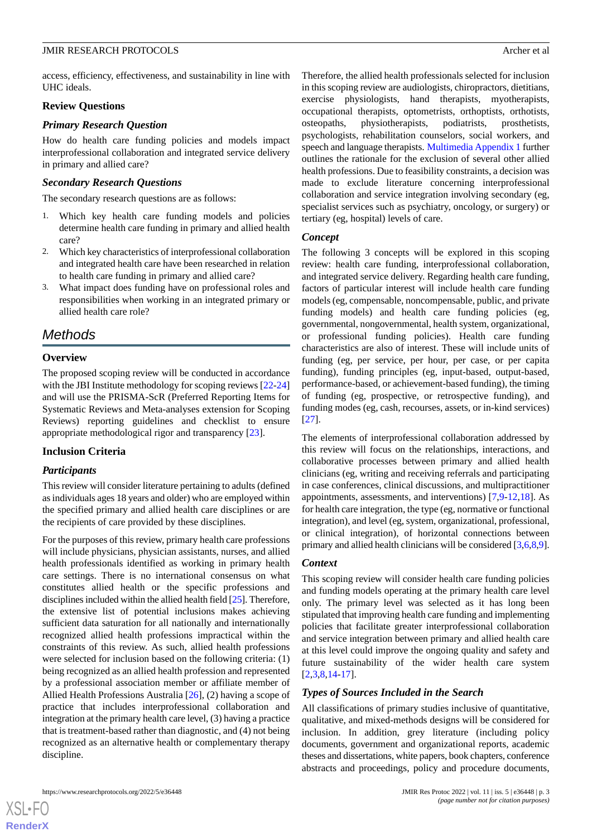access, efficiency, effectiveness, and sustainability in line with UHC ideals.

#### **Review Questions**

#### *Primary Research Question*

How do health care funding policies and models impact interprofessional collaboration and integrated service delivery in primary and allied care?

#### *Secondary Research Questions*

The secondary research questions are as follows:

- 1. Which key health care funding models and policies determine health care funding in primary and allied health care?
- 2. Which key characteristics of interprofessional collaboration and integrated health care have been researched in relation to health care funding in primary and allied care?
- 3. What impact does funding have on professional roles and responsibilities when working in an integrated primary or allied health care role?

# *Methods*

#### **Overview**

The proposed scoping review will be conducted in accordance with the JBI Institute methodology for scoping reviews  $[22-24]$  $[22-24]$  $[22-24]$  $[22-24]$ and will use the PRISMA-ScR (Preferred Reporting Items for Systematic Reviews and Meta-analyses extension for Scoping Reviews) reporting guidelines and checklist to ensure appropriate methodological rigor and transparency [[23\]](#page-6-11).

#### **Inclusion Criteria**

#### *Participants*

This review will consider literature pertaining to adults (defined as individuals ages 18 years and older) who are employed within the specified primary and allied health care disciplines or are the recipients of care provided by these disciplines.

For the purposes of this review, primary health care professions will include physicians, physician assistants, nurses, and allied health professionals identified as working in primary health care settings. There is no international consensus on what constitutes allied health or the specific professions and disciplines included within the allied health field [[25](#page-6-12)]. Therefore, the extensive list of potential inclusions makes achieving sufficient data saturation for all nationally and internationally recognized allied health professions impractical within the constraints of this review. As such, allied health professions were selected for inclusion based on the following criteria: (1) being recognized as an allied health profession and represented by a professional association member or affiliate member of Allied Health Professions Australia [[26\]](#page-6-13), (2) having a scope of practice that includes interprofessional collaboration and integration at the primary health care level, (3) having a practice that is treatment-based rather than diagnostic, and (4) not being recognized as an alternative health or complementary therapy discipline.

Therefore, the allied health professionals selected for inclusion in this scoping review are audiologists, chiropractors, dietitians, exercise physiologists, hand therapists, myotherapists, occupational therapists, optometrists, orthoptists, orthotists, osteopaths, physiotherapists, podiatrists, prosthetists, psychologists, rehabilitation counselors, social workers, and speech and language therapists. [Multimedia Appendix 1](#page-5-10) further outlines the rationale for the exclusion of several other allied health professions. Due to feasibility constraints, a decision was made to exclude literature concerning interprofessional collaboration and service integration involving secondary (eg, specialist services such as psychiatry, oncology, or surgery) or tertiary (eg, hospital) levels of care.

#### *Concept*

The following 3 concepts will be explored in this scoping review: health care funding, interprofessional collaboration, and integrated service delivery. Regarding health care funding, factors of particular interest will include health care funding models (eg, compensable, noncompensable, public, and private funding models) and health care funding policies (eg. governmental, nongovernmental, health system, organizational, or professional funding policies). Health care funding characteristics are also of interest. These will include units of funding (eg, per service, per hour, per case, or per capita funding), funding principles (eg, input-based, output-based, performance-based, or achievement-based funding), the timing of funding (eg, prospective, or retrospective funding), and funding modes (eg, cash, recourses, assets, or in-kind services) [[27\]](#page-6-14).

The elements of interprofessional collaboration addressed by this review will focus on the relationships, interactions, and collaborative processes between primary and allied health clinicians (eg, writing and receiving referrals and participating in case conferences, clinical discussions, and multipractitioner appointments, assessments, and interventions) [[7](#page-5-4)[,9](#page-5-8)-[12,](#page-5-5)[18](#page-6-4)]. As for health care integration, the type (eg, normative or functional integration), and level (eg, system, organizational, professional, or clinical integration), of horizontal connections between primary and allied health clinicians will be considered [[3](#page-5-9)[,6](#page-5-3),[8,](#page-5-7)[9\]](#page-5-8).

#### *Context*

This scoping review will consider health care funding policies and funding models operating at the primary health care level only. The primary level was selected as it has long been stipulated that improving health care funding and implementing policies that facilitate greater interprofessional collaboration and service integration between primary and allied health care at this level could improve the ongoing quality and safety and future sustainability of the wider health care system [[2](#page-5-6)[,3,](#page-5-9)[8,](#page-5-7)[14-](#page-6-7)[17\]](#page-6-3).

#### *Types of Sources Included in the Search*

All classifications of primary studies inclusive of quantitative, qualitative, and mixed-methods designs will be considered for inclusion. In addition, grey literature (including policy documents, government and organizational reports, academic theses and dissertations, white papers, book chapters, conference abstracts and proceedings, policy and procedure documents,

[XSL](http://www.w3.org/Style/XSL)•FO **[RenderX](http://www.renderx.com/)**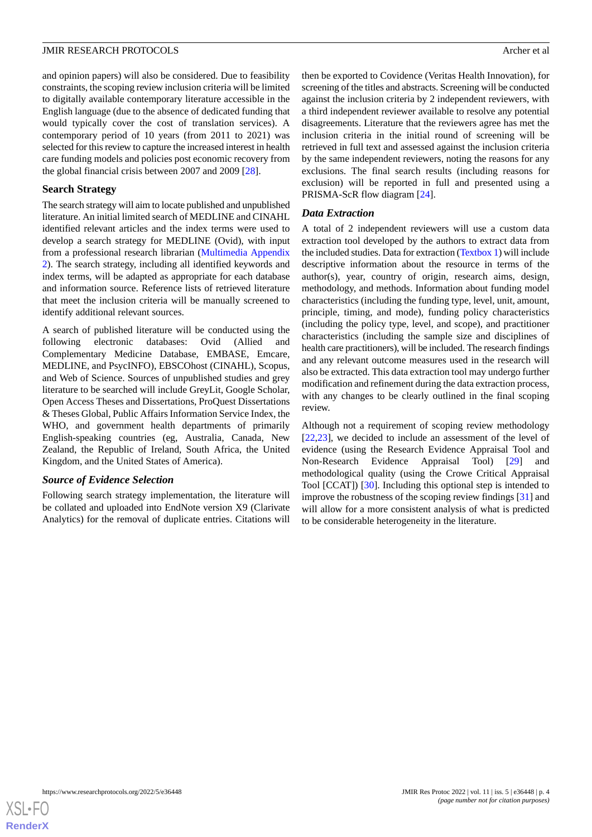and opinion papers) will also be considered. Due to feasibility constraints, the scoping review inclusion criteria will be limited to digitally available contemporary literature accessible in the English language (due to the absence of dedicated funding that would typically cover the cost of translation services). A contemporary period of 10 years (from 2011 to 2021) was selected for this review to capture the increased interest in health care funding models and policies post economic recovery from the global financial crisis between 2007 and 2009 [[28\]](#page-6-15).

### **Search Strategy**

The search strategy will aim to locate published and unpublished literature. An initial limited search of MEDLINE and CINAHL identified relevant articles and the index terms were used to develop a search strategy for MEDLINE (Ovid), with input from a professional research librarian [\(Multimedia Appendix](#page-5-11) [2\)](#page-5-11). The search strategy, including all identified keywords and index terms, will be adapted as appropriate for each database and information source. Reference lists of retrieved literature that meet the inclusion criteria will be manually screened to identify additional relevant sources.

A search of published literature will be conducted using the following electronic databases: Ovid (Allied and Complementary Medicine Database, EMBASE, Emcare, MEDLINE, and PsycINFO), EBSCOhost (CINAHL), Scopus, and Web of Science. Sources of unpublished studies and grey literature to be searched will include GreyLit, Google Scholar, Open Access Theses and Dissertations, ProQuest Dissertations & Theses Global, Public Affairs Information Service Index, the WHO, and government health departments of primarily English-speaking countries (eg, Australia, Canada, New Zealand, the Republic of Ireland, South Africa, the United Kingdom, and the United States of America).

#### *Source of Evidence Selection*

Following search strategy implementation, the literature will be collated and uploaded into EndNote version X9 (Clarivate Analytics) for the removal of duplicate entries. Citations will then be exported to Covidence (Veritas Health Innovation), for screening of the titles and abstracts. Screening will be conducted against the inclusion criteria by 2 independent reviewers, with a third independent reviewer available to resolve any potential disagreements. Literature that the reviewers agree has met the inclusion criteria in the initial round of screening will be retrieved in full text and assessed against the inclusion criteria by the same independent reviewers, noting the reasons for any exclusions. The final search results (including reasons for exclusion) will be reported in full and presented using a PRISMA-ScR flow diagram [\[24](#page-6-10)].

# *Data Extraction*

A total of 2 independent reviewers will use a custom data extraction tool developed by the authors to extract data from the included studies. Data for extraction ([Textbox 1\)](#page-4-0) will include descriptive information about the resource in terms of the author(s), year, country of origin, research aims, design, methodology, and methods. Information about funding model characteristics (including the funding type, level, unit, amount, principle, timing, and mode), funding policy characteristics (including the policy type, level, and scope), and practitioner characteristics (including the sample size and disciplines of health care practitioners), will be included. The research findings and any relevant outcome measures used in the research will also be extracted. This data extraction tool may undergo further modification and refinement during the data extraction process, with any changes to be clearly outlined in the final scoping review.

Although not a requirement of scoping review methodology [[22,](#page-6-9)[23\]](#page-6-11), we decided to include an assessment of the level of evidence (using the Research Evidence Appraisal Tool and Non-Research Evidence Appraisal Tool) [\[29](#page-6-16)] and methodological quality (using the Crowe Critical Appraisal Tool [CCAT]) [\[30](#page-6-17)]. Including this optional step is intended to improve the robustness of the scoping review findings [[31\]](#page-6-18) and will allow for a more consistent analysis of what is predicted to be considerable heterogeneity in the literature.

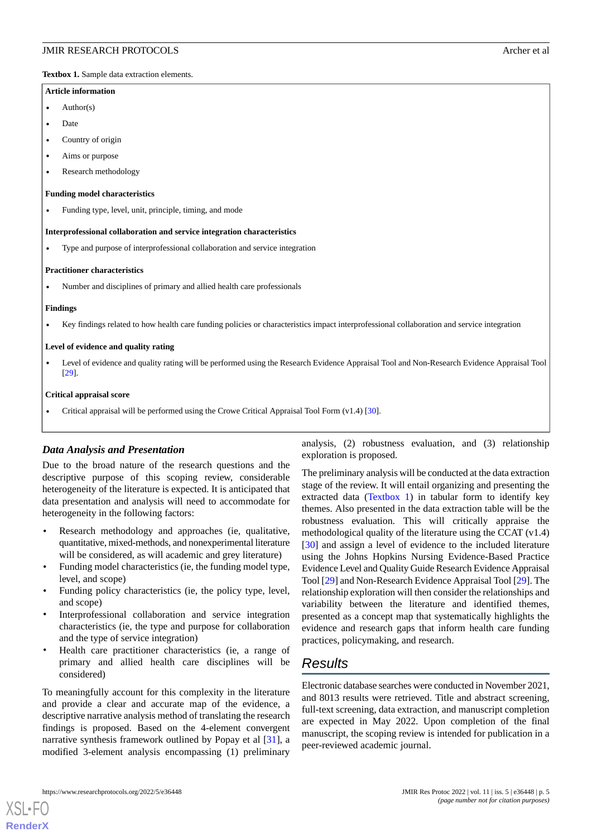<span id="page-4-0"></span>**Textbox 1.** Sample data extraction elements.

#### **Article information**

- $A$ uthor $(s)$
- Date
- Country of origin
- Aims or purpose
- Research methodology

#### **Funding model characteristics**

• Funding type, level, unit, principle, timing, and mode

#### **Interprofessional collaboration and service integration characteristics**

• Type and purpose of interprofessional collaboration and service integration

#### **Practitioner characteristics**

• Number and disciplines of primary and allied health care professionals

#### **Findings**

• Key findings related to how health care funding policies or characteristics impact interprofessional collaboration and service integration

#### **Level of evidence and quality rating**

• Level of evidence and quality rating will be performed using the Research Evidence Appraisal Tool and Non-Research Evidence Appraisal Tool [\[29\]](#page-6-16).

#### **Critical appraisal score**

• Critical appraisal will be performed using the Crowe Critical Appraisal Tool Form (v1.4) [[30](#page-6-17)].

# *Data Analysis and Presentation*

Due to the broad nature of the research questions and the descriptive purpose of this scoping review, considerable heterogeneity of the literature is expected. It is anticipated that data presentation and analysis will need to accommodate for heterogeneity in the following factors:

- Research methodology and approaches (ie, qualitative, quantitative, mixed-methods, and nonexperimental literature will be considered, as will academic and grey literature)
- Funding model characteristics (ie, the funding model type, level, and scope)
- Funding policy characteristics (ie, the policy type, level, and scope)
- Interprofessional collaboration and service integration characteristics (ie, the type and purpose for collaboration and the type of service integration)
- Health care practitioner characteristics (ie, a range of primary and allied health care disciplines will be considered)

To meaningfully account for this complexity in the literature and provide a clear and accurate map of the evidence, a descriptive narrative analysis method of translating the research findings is proposed. Based on the 4-element convergent narrative synthesis framework outlined by Popay et al [\[31](#page-6-18)], a modified 3-element analysis encompassing (1) preliminary

analysis, (2) robustness evaluation, and (3) relationship exploration is proposed.

The preliminary analysis will be conducted at the data extraction stage of the review. It will entail organizing and presenting the extracted data ([Textbox 1](#page-4-0)) in tabular form to identify key themes. Also presented in the data extraction table will be the robustness evaluation. This will critically appraise the methodological quality of the literature using the CCAT (v1.4) [[30\]](#page-6-17) and assign a level of evidence to the included literature using the Johns Hopkins Nursing Evidence-Based Practice Evidence Level and Quality Guide Research Evidence Appraisal Tool [[29\]](#page-6-16) and Non-Research Evidence Appraisal Tool [[29\]](#page-6-16). The relationship exploration will then consider the relationships and variability between the literature and identified themes, presented as a concept map that systematically highlights the evidence and research gaps that inform health care funding practices, policymaking, and research.

# *Results*

Electronic database searches were conducted in November 2021, and 8013 results were retrieved. Title and abstract screening, full-text screening, data extraction, and manuscript completion are expected in May 2022. Upon completion of the final manuscript, the scoping review is intended for publication in a peer-reviewed academic journal.

[XSL](http://www.w3.org/Style/XSL)•FO **[RenderX](http://www.renderx.com/)**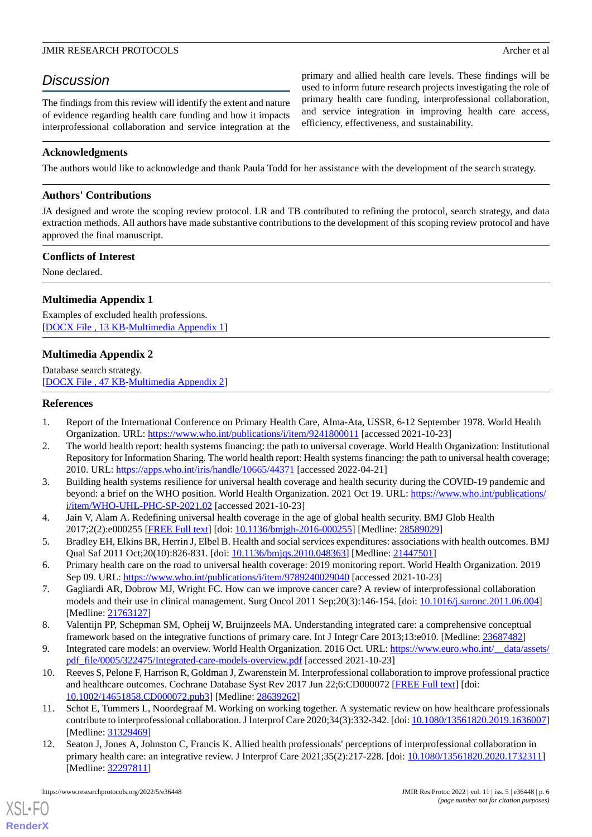primary and allied health care levels. These findings will be used to inform future research projects investigating the role of primary health care funding, interprofessional collaboration, and service integration in improving health care access,

efficiency, effectiveness, and sustainability.

# *Discussion*

The findings from this review will identify the extent and nature of evidence regarding health care funding and how it impacts interprofessional collaboration and service integration at the

**Acknowledgments**

The authors would like to acknowledge and thank Paula Todd for her assistance with the development of the search strategy.

# **Authors' Contributions**

JA designed and wrote the scoping review protocol. LR and TB contributed to refining the protocol, search strategy, and data extraction methods. All authors have made substantive contributions to the development of this scoping review protocol and have approved the final manuscript.

# **Conflicts of Interest**

<span id="page-5-10"></span>None declared.

# **Multimedia Appendix 1**

<span id="page-5-11"></span>Examples of excluded health professions. [[DOCX File , 13 KB](https://jmir.org/api/download?alt_name=resprot_v11i5e36448_app1.docx&filename=f77a42162577451780df448544cb6707.docx)-[Multimedia Appendix 1\]](https://jmir.org/api/download?alt_name=resprot_v11i5e36448_app1.docx&filename=f77a42162577451780df448544cb6707.docx)

# **Multimedia Appendix 2**

<span id="page-5-0"></span>Database search strategy. [[DOCX File , 47 KB](https://jmir.org/api/download?alt_name=resprot_v11i5e36448_app2.docx&filename=4054622a245a90873b26df9ba9f2c34a.docx)-[Multimedia Appendix 2\]](https://jmir.org/api/download?alt_name=resprot_v11i5e36448_app2.docx&filename=4054622a245a90873b26df9ba9f2c34a.docx)

# <span id="page-5-6"></span>**References**

- 1. Report of the International Conference on Primary Health Care, Alma-Ata, USSR, 6-12 September 1978. World Health Organization. URL: <https://www.who.int/publications/i/item/9241800011> [accessed 2021-10-23]
- <span id="page-5-9"></span>2. The world health report: health systems financing: the path to universal coverage. World Health Organization: Institutional Repository for Information Sharing. The world health report: Health systems financing: the path to universal health coverage; 2010. URL: <https://apps.who.int/iris/handle/10665/44371> [accessed 2022-04-21]
- <span id="page-5-2"></span><span id="page-5-1"></span>3. Building health systems resilience for universal health coverage and health security during the COVID-19 pandemic and beyond: a brief on the WHO position. World Health Organization. 2021 Oct 19. URL: [https://www.who.int/publications/](https://www.who.int/publications/i/item/WHO-UHL-PHC-SP-2021.02) [i/item/WHO-UHL-PHC-SP-2021.02](https://www.who.int/publications/i/item/WHO-UHL-PHC-SP-2021.02) [accessed 2021-10-23]
- <span id="page-5-3"></span>4. Jain V, Alam A. Redefining universal health coverage in the age of global health security. BMJ Glob Health 2017;2(2):e000255 [\[FREE Full text](https://gh.bmj.com/lookup/pmidlookup?view=long&pmid=28589029)] [doi: [10.1136/bmjgh-2016-000255](http://dx.doi.org/10.1136/bmjgh-2016-000255)] [Medline: [28589029\]](http://www.ncbi.nlm.nih.gov/entrez/query.fcgi?cmd=Retrieve&db=PubMed&list_uids=28589029&dopt=Abstract)
- <span id="page-5-4"></span>5. Bradley EH, Elkins BR, Herrin J, Elbel B. Health and social services expenditures: associations with health outcomes. BMJ Qual Saf 2011 Oct;20(10):826-831. [doi: [10.1136/bmjqs.2010.048363\]](http://dx.doi.org/10.1136/bmjqs.2010.048363) [Medline: [21447501\]](http://www.ncbi.nlm.nih.gov/entrez/query.fcgi?cmd=Retrieve&db=PubMed&list_uids=21447501&dopt=Abstract)
- <span id="page-5-7"></span>6. Primary health care on the road to universal health coverage: 2019 monitoring report. World Health Organization. 2019 Sep 09. URL:<https://www.who.int/publications/i/item/9789240029040> [accessed 2021-10-23]
- <span id="page-5-8"></span>7. Gagliardi AR, Dobrow MJ, Wright FC. How can we improve cancer care? A review of interprofessional collaboration models and their use in clinical management. Surg Oncol 2011 Sep;20(3):146-154. [doi: [10.1016/j.suronc.2011.06.004](http://dx.doi.org/10.1016/j.suronc.2011.06.004)] [Medline: [21763127](http://www.ncbi.nlm.nih.gov/entrez/query.fcgi?cmd=Retrieve&db=PubMed&list_uids=21763127&dopt=Abstract)]
- 8. Valentijn PP, Schepman SM, Opheij W, Bruijnzeels MA. Understanding integrated care: a comprehensive conceptual framework based on the integrative functions of primary care. Int J Integr Care 2013;13:e010. [Medline: [23687482\]](http://www.ncbi.nlm.nih.gov/entrez/query.fcgi?cmd=Retrieve&db=PubMed&list_uids=23687482&dopt=Abstract)
- 9. Integrated care models: an overview. World Health Organization. 2016 Oct. URL: https://www.euro.who.int/ data/assets/ [pdf\\_file/0005/322475/Integrated-care-models-overview.pdf](https://www.euro.who.int/__data/assets/pdf_file/0005/322475/Integrated-care-models-overview.pdf) [accessed 2021-10-23]
- <span id="page-5-5"></span>10. Reeves S, Pelone F, Harrison R, Goldman J, Zwarenstein M. Interprofessional collaboration to improve professional practice and healthcare outcomes. Cochrane Database Syst Rev 2017 Jun 22;6:CD000072 [[FREE Full text](http://europepmc.org/abstract/MED/28639262)] [doi: [10.1002/14651858.CD000072.pub3\]](http://dx.doi.org/10.1002/14651858.CD000072.pub3) [Medline: [28639262](http://www.ncbi.nlm.nih.gov/entrez/query.fcgi?cmd=Retrieve&db=PubMed&list_uids=28639262&dopt=Abstract)]
- 11. Schot E, Tummers L, Noordegraaf M. Working on working together. A systematic review on how healthcare professionals contribute to interprofessional collaboration. J Interprof Care 2020;34(3):332-342. [doi: [10.1080/13561820.2019.1636007](http://dx.doi.org/10.1080/13561820.2019.1636007)] [Medline: [31329469](http://www.ncbi.nlm.nih.gov/entrez/query.fcgi?cmd=Retrieve&db=PubMed&list_uids=31329469&dopt=Abstract)]
- 12. Seaton J, Jones A, Johnston C, Francis K. Allied health professionals' perceptions of interprofessional collaboration in primary health care: an integrative review. J Interprof Care 2021;35(2):217-228. [doi: [10.1080/13561820.2020.1732311](http://dx.doi.org/10.1080/13561820.2020.1732311)] [Medline: [32297811](http://www.ncbi.nlm.nih.gov/entrez/query.fcgi?cmd=Retrieve&db=PubMed&list_uids=32297811&dopt=Abstract)]

[XSL](http://www.w3.org/Style/XSL)•FO **[RenderX](http://www.renderx.com/)**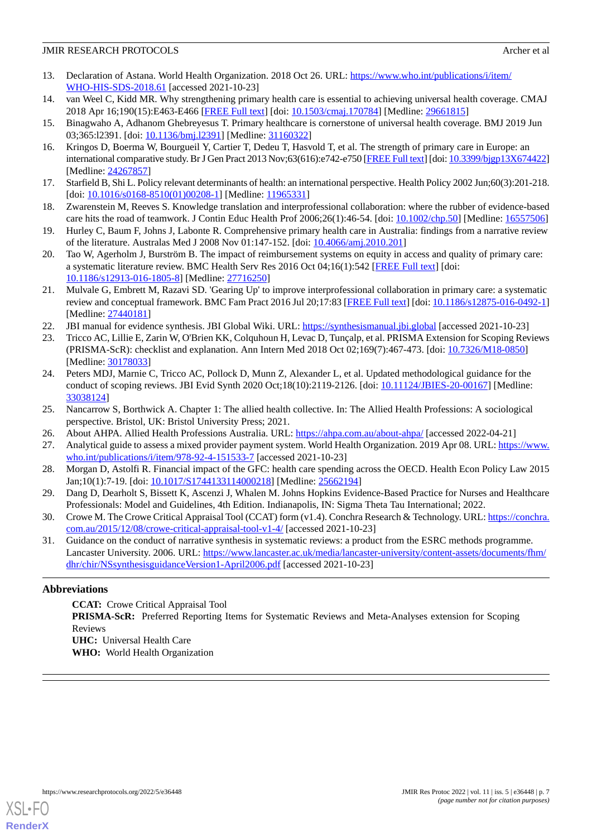- <span id="page-6-0"></span>13. Declaration of Astana. World Health Organization. 2018 Oct 26. URL: [https://www.who.int/publications/i/item/](https://www.who.int/publications/i/item/WHO-HIS-SDS-2018.61) [WHO-HIS-SDS-2018.61](https://www.who.int/publications/i/item/WHO-HIS-SDS-2018.61) [accessed 2021-10-23]
- <span id="page-6-7"></span><span id="page-6-1"></span>14. van Weel C, Kidd MR. Why strengthening primary health care is essential to achieving universal health coverage. CMAJ 2018 Apr 16;190(15):E463-E466 [[FREE Full text](http://www.cmaj.ca/cgi/pmidlookup?view=long&pmid=29661815)] [doi: [10.1503/cmaj.170784](http://dx.doi.org/10.1503/cmaj.170784)] [Medline: [29661815](http://www.ncbi.nlm.nih.gov/entrez/query.fcgi?cmd=Retrieve&db=PubMed&list_uids=29661815&dopt=Abstract)]
- <span id="page-6-2"></span>15. Binagwaho A, Adhanom Ghebreyesus T. Primary healthcare is cornerstone of universal health coverage. BMJ 2019 Jun 03;365:12391. [doi: 10.1136/bmj.12391] [Medline: [31160322](http://www.ncbi.nlm.nih.gov/entrez/query.fcgi?cmd=Retrieve&db=PubMed&list_uids=31160322&dopt=Abstract)]
- <span id="page-6-3"></span>16. Kringos D, Boerma W, Bourgueil Y, Cartier T, Dedeu T, Hasvold T, et al. The strength of primary care in Europe: an international comparative study. Br J Gen Pract 2013 Nov;63(616):e742-e750 [\[FREE Full text\]](https://bjgp.org/cgi/pmidlookup?view=long&pmid=24267857) [doi: [10.3399/bjgp13X674422\]](http://dx.doi.org/10.3399/bjgp13X674422) [Medline: [24267857](http://www.ncbi.nlm.nih.gov/entrez/query.fcgi?cmd=Retrieve&db=PubMed&list_uids=24267857&dopt=Abstract)]
- <span id="page-6-4"></span>17. Starfield B, Shi L. Policy relevant determinants of health: an international perspective. Health Policy 2002 Jun;60(3):201-218. [doi: [10.1016/s0168-8510\(01\)00208-1](http://dx.doi.org/10.1016/s0168-8510(01)00208-1)] [Medline: [11965331](http://www.ncbi.nlm.nih.gov/entrez/query.fcgi?cmd=Retrieve&db=PubMed&list_uids=11965331&dopt=Abstract)]
- <span id="page-6-5"></span>18. Zwarenstein M, Reeves S. Knowledge translation and interprofessional collaboration: where the rubber of evidence-based care hits the road of teamwork. J Contin Educ Health Prof 2006;26(1):46-54. [doi: [10.1002/chp.50](http://dx.doi.org/10.1002/chp.50)] [Medline: [16557506](http://www.ncbi.nlm.nih.gov/entrez/query.fcgi?cmd=Retrieve&db=PubMed&list_uids=16557506&dopt=Abstract)]
- <span id="page-6-6"></span>19. Hurley C, Baum F, Johns J, Labonte R. Comprehensive primary health care in Australia: findings from a narrative review of the literature. Australas Med J 2008 Nov 01:147-152. [doi: [10.4066/amj.2010.201\]](http://dx.doi.org/10.4066/amj.2010.201)
- <span id="page-6-8"></span>20. Tao W, Agerholm J, Burström B. The impact of reimbursement systems on equity in access and quality of primary care: a systematic literature review. BMC Health Serv Res 2016 Oct 04;16(1):542 [[FREE Full text\]](https://bmchealthservres.biomedcentral.com/articles/10.1186/s12913-016-1805-8) [doi: [10.1186/s12913-016-1805-8\]](http://dx.doi.org/10.1186/s12913-016-1805-8) [Medline: [27716250](http://www.ncbi.nlm.nih.gov/entrez/query.fcgi?cmd=Retrieve&db=PubMed&list_uids=27716250&dopt=Abstract)]
- <span id="page-6-11"></span><span id="page-6-9"></span>21. Mulvale G, Embrett M, Razavi SD. 'Gearing Up' to improve interprofessional collaboration in primary care: a systematic review and conceptual framework. BMC Fam Pract 2016 Jul 20;17:83 [\[FREE Full text\]](https://bmcfampract.biomedcentral.com/articles/10.1186/s12875-016-0492-1) [doi: [10.1186/s12875-016-0492-1](http://dx.doi.org/10.1186/s12875-016-0492-1)] [Medline: [27440181](http://www.ncbi.nlm.nih.gov/entrez/query.fcgi?cmd=Retrieve&db=PubMed&list_uids=27440181&dopt=Abstract)]
- 22. JBI manual for evidence synthesis. JBI Global Wiki. URL:<https://synthesismanual.jbi.global> [accessed 2021-10-23]
- <span id="page-6-10"></span>23. Tricco AC, Lillie E, Zarin W, O'Brien KK, Colquhoun H, Levac D, Tunçalp, et al. PRISMA Extension for Scoping Reviews (PRISMA-ScR): checklist and explanation. Ann Intern Med 2018 Oct 02;169(7):467-473. [doi: [10.7326/M18-0850](http://dx.doi.org/10.7326/M18-0850)] [Medline: [30178033](http://www.ncbi.nlm.nih.gov/entrez/query.fcgi?cmd=Retrieve&db=PubMed&list_uids=30178033&dopt=Abstract)]
- <span id="page-6-13"></span><span id="page-6-12"></span>24. Peters MDJ, Marnie C, Tricco AC, Pollock D, Munn Z, Alexander L, et al. Updated methodological guidance for the conduct of scoping reviews. JBI Evid Synth 2020 Oct;18(10):2119-2126. [doi: [10.11124/JBIES-20-00167\]](http://dx.doi.org/10.11124/JBIES-20-00167) [Medline: [33038124](http://www.ncbi.nlm.nih.gov/entrez/query.fcgi?cmd=Retrieve&db=PubMed&list_uids=33038124&dopt=Abstract)]
- <span id="page-6-14"></span>25. Nancarrow S, Borthwick A. Chapter 1: The allied health collective. In: The Allied Health Professions: A sociological perspective. Bristol, UK: Bristol University Press; 2021.
- <span id="page-6-15"></span>26. About AHPA. Allied Health Professions Australia. URL: <https://ahpa.com.au/about-ahpa/> [accessed 2022-04-21]
- <span id="page-6-16"></span>27. Analytical guide to assess a mixed provider payment system. World Health Organization. 2019 Apr 08. URL: [https://www.](https://www.who.int/publications/i/item/978-92-4-151533-7) [who.int/publications/i/item/978-92-4-151533-7](https://www.who.int/publications/i/item/978-92-4-151533-7) [accessed 2021-10-23]
- <span id="page-6-17"></span>28. Morgan D, Astolfi R. Financial impact of the GFC: health care spending across the OECD. Health Econ Policy Law 2015 Jan;10(1):7-19. [doi: [10.1017/S1744133114000218\]](http://dx.doi.org/10.1017/S1744133114000218) [Medline: [25662194](http://www.ncbi.nlm.nih.gov/entrez/query.fcgi?cmd=Retrieve&db=PubMed&list_uids=25662194&dopt=Abstract)]
- <span id="page-6-18"></span>29. Dang D, Dearholt S, Bissett K, Ascenzi J, Whalen M. Johns Hopkins Evidence-Based Practice for Nurses and Healthcare Professionals: Model and Guidelines, 4th Edition. Indianapolis, IN: Sigma Theta Tau International; 2022.
- 30. Crowe M. The Crowe Critical Appraisal Tool (CCAT) form (v1.4). Conchra Research & Technology. URL: [https://conchra.](https://conchra.com.au/2015/12/08/crowe-critical-appraisal-tool-v1-4/) [com.au/2015/12/08/crowe-critical-appraisal-tool-v1-4/](https://conchra.com.au/2015/12/08/crowe-critical-appraisal-tool-v1-4/) [accessed 2021-10-23]
- 31. Guidance on the conduct of narrative synthesis in systematic reviews: a product from the ESRC methods programme. Lancaster University. 2006. URL: [https://www.lancaster.ac.uk/media/lancaster-university/content-assets/documents/fhm/](https://www.lancaster.ac.uk/media/lancaster-university/content-assets/documents/fhm/dhr/chir/NSsynthesisguidanceVersion1-April2006.pdf) [dhr/chir/NSsynthesisguidanceVersion1-April2006.pdf](https://www.lancaster.ac.uk/media/lancaster-university/content-assets/documents/fhm/dhr/chir/NSsynthesisguidanceVersion1-April2006.pdf) [accessed 2021-10-23]

# **Abbreviations**

**CCAT:** Crowe Critical Appraisal Tool **PRISMA-ScR:** Preferred Reporting Items for Systematic Reviews and Meta-Analyses extension for Scoping Reviews **UHC:** Universal Health Care **WHO:** World Health Organization